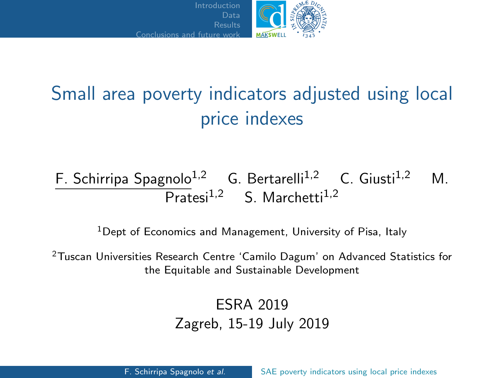

# <span id="page-0-0"></span>Small area poverty indicators adjusted using local price indexes

### F. Schirripa Spagnolo<sup>1,2</sup> G. Bertarelli<sup>1,2</sup> C. Giusti<sup>1,2</sup> M.  $\overline{\text{Prates}}$ i<sup>1,2</sup> S. Marchetti<sup>1,2</sup>

<sup>1</sup>Dept of Economics and Management, University of Pisa, Italy

<sup>2</sup>Tuscan Universities Research Centre 'Camilo Dagum' on Advanced Statistics for the Equitable and Sustainable Development

#### ESRA 2019 Zagreb, 15-19 July 2019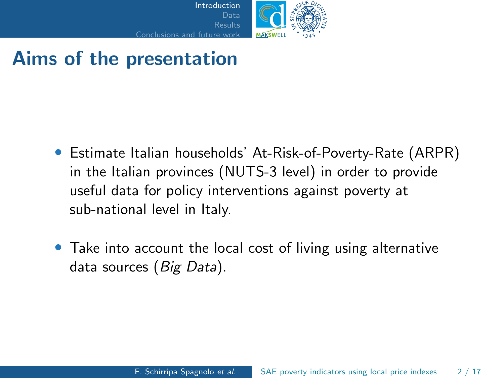

## <span id="page-1-0"></span>Aims of the presentation

- Estimate Italian households' At-Risk-of-Poverty-Rate (ARPR) in the Italian provinces (NUTS-3 level) in order to provide useful data for policy interventions against poverty at sub-national level in Italy.
- Take into account the local cost of living using alternative data sources (Big Data).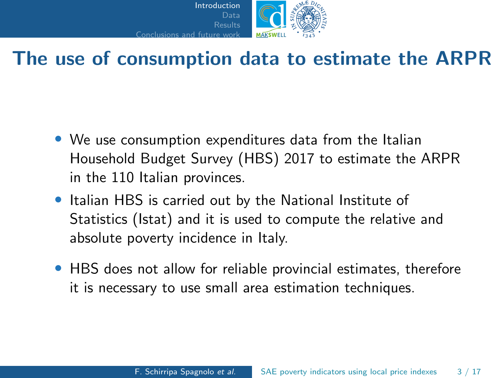

## The use of consumption data to estimate the ARPR

- We use consumption expenditures data from the Italian Household Budget Survey (HBS) 2017 to estimate the ARPR in the 110 Italian provinces.
- Italian HBS is carried out by the National Institute of Statistics (Istat) and it is used to compute the relative and absolute poverty incidence in Italy.
- HBS does not allow for reliable provincial estimates, therefore it is necessary to use small area estimation techniques.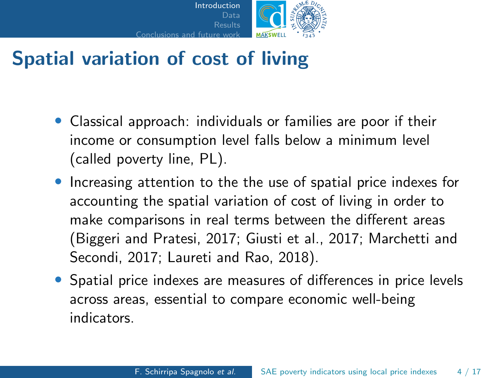

## Spatial variation of cost of living

- Classical approach: individuals or families are poor if their income or consumption level falls below a minimum level (called poverty line, PL).
- Increasing attention to the the use of spatial price indexes for accounting the spatial variation of cost of living in order to make comparisons in real terms between the different areas (Biggeri and Pratesi, 2017; Giusti et al., 2017; Marchetti and Secondi, 2017; Laureti and Rao, 2018).
- Spatial price indexes are measures of differences in price levels across areas, essential to compare economic well-being indicators.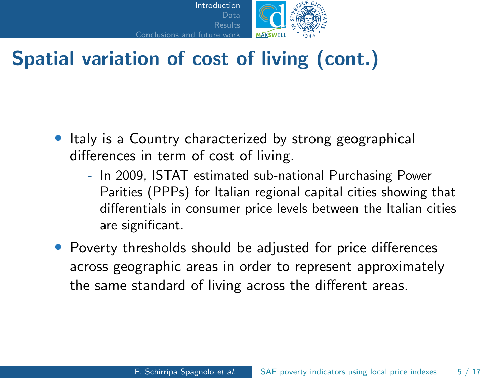

## Spatial variation of cost of living (cont.)

- Italy is a Country characterized by strong geographical differences in term of cost of living.
	- In 2009, ISTAT estimated sub-national Purchasing Power Parities (PPPs) for Italian regional capital cities showing that differentials in consumer price levels between the Italian cities are significant.
- Poverty thresholds should be adjusted for price differences across geographic areas in order to represent approximately the same standard of living across the different areas.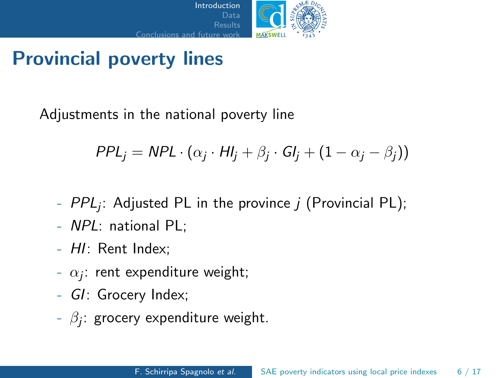

## Provincial poverty lines

Adjustments in the national poverty line

$$
PPL_j = NPL \cdot (\alpha_j \cdot HI_j + \beta_j \cdot GI_j + (1 - \alpha_j - \beta_j))
$$

- $\mathit{PPL}_j$ : Adjusted PL in the province  $j$  (Provincial PL);
- NPL: national PL;
- HI: Rent Index;
- $\alpha_j$ : rent expenditure weight;
- GI: Grocery Index;
- $\beta_j$ : grocery expenditure weight.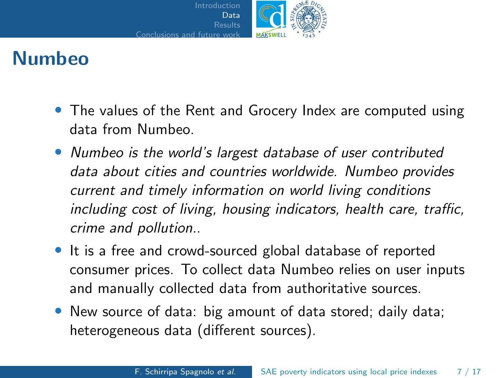

## <span id="page-6-0"></span>Numbeo

- The values of the Rent and Grocery Index are computed using data from Numbeo.
- Numbeo is the world's largest database of user contributed data about cities and countries worldwide. Numbeo provides current and timely information on world living conditions including cost of living, housing indicators, health care, traffic, crime and pollution..
- It is a free and crowd-sourced global database of reported consumer prices. To collect data Numbeo relies on user inputs and manually collected data from authoritative sources.
- New source of data: big amount of data stored; daily data; heterogeneous data (different sources).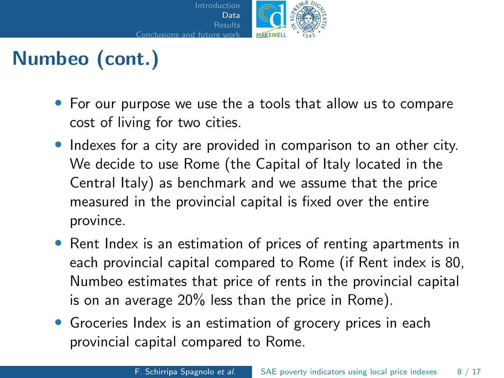

# Numbeo (cont.)

- For our purpose we use the a tools that allow us to compare cost of living for two cities.
- Indexes for a city are provided in comparison to an other city. We decide to use Rome (the Capital of Italy located in the Central Italy) as benchmark and we assume that the price measured in the provincial capital is fixed over the entire province.
- Rent Index is an estimation of prices of renting apartments in each provincial capital compared to Rome (if Rent index is 80, Numbeo estimates that price of rents in the provincial capital is on an average 20% less than the price in Rome).
- Groceries Index is an estimation of grocery prices in each provincial capital compared to Rome.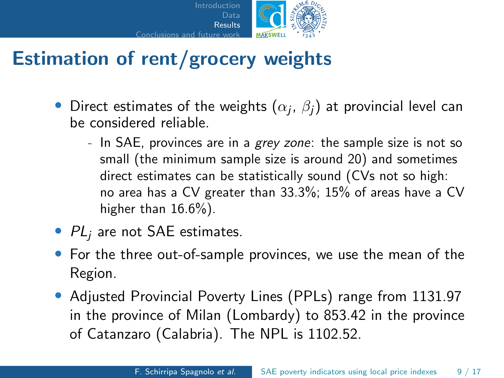

## <span id="page-8-0"></span>Estimation of rent/grocery weights

- $\bullet\,$  Direct estimates of the weights  $(\alpha_j,\,\beta_j)$  at provincial level can be considered reliable.
	- In SAE, provinces are in a grey zone: the sample size is not so small (the minimum sample size is around 20) and sometimes direct estimates can be statistically sound (CVs not so high: no area has a CV greater than 33.3%; 15% of areas have a CV higher than 16.6%).
- $PL_i$  are not SAE estimates.
- For the three out-of-sample provinces, we use the mean of the Region.
- Adjusted Provincial Poverty Lines (PPLs) range from 1131.97 in the province of Milan (Lombardy) to 853.42 in the province of Catanzaro (Calabria). The NPL is 1102.52.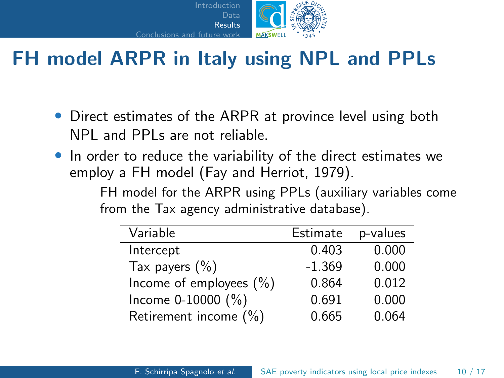

## FH model ARPR in Italy using NPL and PPLs

- Direct estimates of the ARPR at province level using both NPL and PPLs are not reliable.
- In order to reduce the variability of the direct estimates we employ a FH model (Fay and Herriot, 1979).

FH model for the ARPR using PPLs (auxiliary variables come from the Tax agency administrative database).

| Variable                   | Estimate | p-values |
|----------------------------|----------|----------|
| Intercept                  | 0.403    | 0.000    |
| Tax payers $(\% )$         | $-1.369$ | 0.000    |
| Income of employees $(\%)$ | 0.864    | 0.012    |
| Income $0-10000$ $(\%)$    | 0.691    | 0.000    |
| Retirement income (%)      | 0.665    | 0.064    |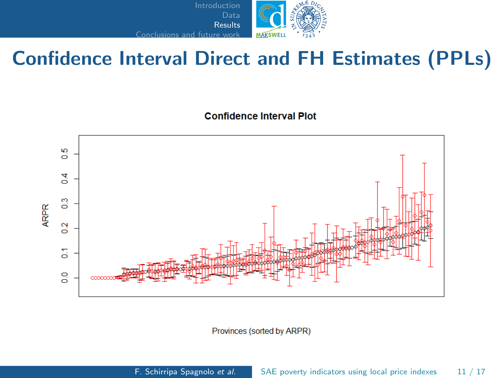

## Confidence Interval Direct and FH Estimates (PPLs)

**Confidence Interval Plot** 



Provinces (sorted by ARPR)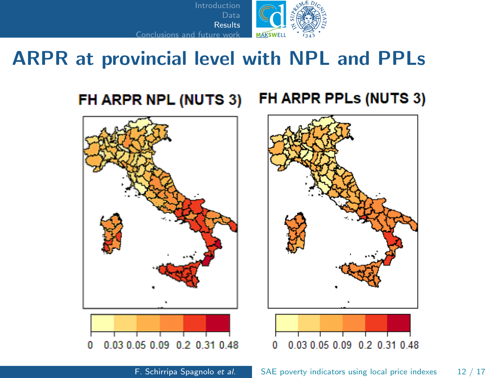

## ARPR at provincial level with NPL and PPLs

#### FH ARPR NPL (NUTS 3) FH ARPR PPLs (NUTS 3)



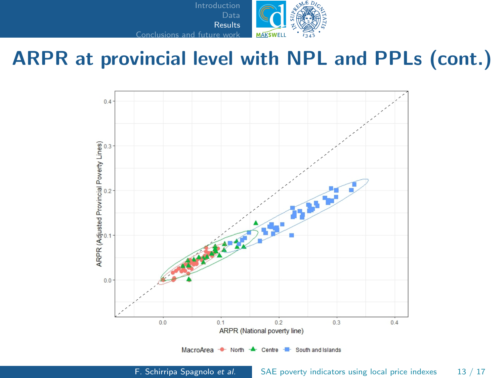

## ARPR at provincial level with NPL and PPLs (cont.)

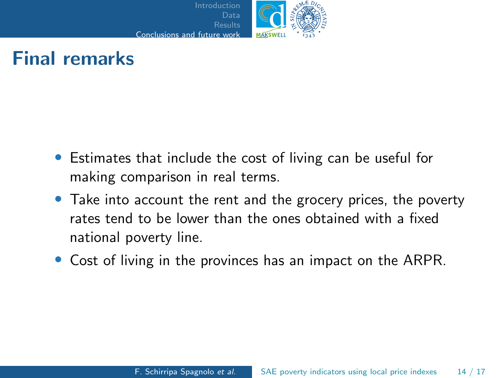

## <span id="page-13-0"></span>Final remarks

- Estimates that include the cost of living can be useful for making comparison in real terms.
- Take into account the rent and the grocery prices, the poverty rates tend to be lower than the ones obtained with a fixed national poverty line.
- Cost of living in the provinces has an impact on the ARPR.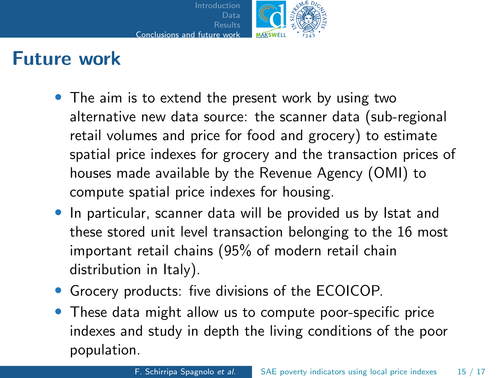

## Future work

- The aim is to extend the present work by using two alternative new data source: the scanner data (sub-regional retail volumes and price for food and grocery) to estimate spatial price indexes for grocery and the transaction prices of houses made available by the Revenue Agency (OMI) to compute spatial price indexes for housing.
- In particular, scanner data will be provided us by Istat and these stored unit level transaction belonging to the 16 most important retail chains (95% of modern retail chain distribution in Italy).
- Grocery products: five divisions of the ECOICOP.
- These data might allow us to compute poor-specific price indexes and study in depth the living conditions of the poor population.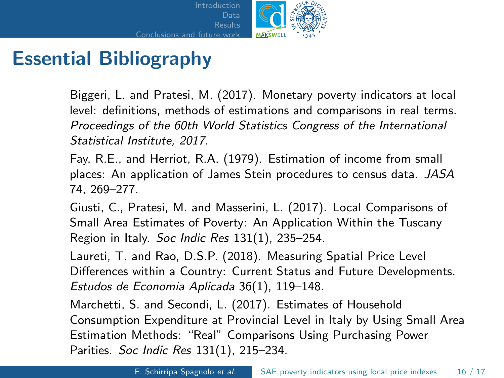

## Essential Bibliography

Biggeri, L. and Pratesi, M. (2017). Monetary poverty indicators at local level: definitions, methods of estimations and comparisons in real terms. Proceedings of the 60th World Statistics Congress of the International Statistical Institute, 2017.

Fay, R.E., and Herriot, R.A. (1979). Estimation of income from small places: An application of James Stein procedures to census data. JASA 74, 269–277.

Giusti, C., Pratesi, M. and Masserini, L. (2017). Local Comparisons of Small Area Estimates of Poverty: An Application Within the Tuscany Region in Italy. Soc Indic Res 131(1), 235–254.

Laureti, T. and Rao, D.S.P. (2018). Measuring Spatial Price Level Differences within a Country: Current Status and Future Developments. Estudos de Economia Aplicada 36(1), 119–148.

Marchetti, S. and Secondi, L. (2017). Estimates of Household Consumption Expenditure at Provincial Level in Italy by Using Small Area Estimation Methods: "Real" Comparisons Using Purchasing Power Parities. Soc Indic Res 131(1), 215–234.